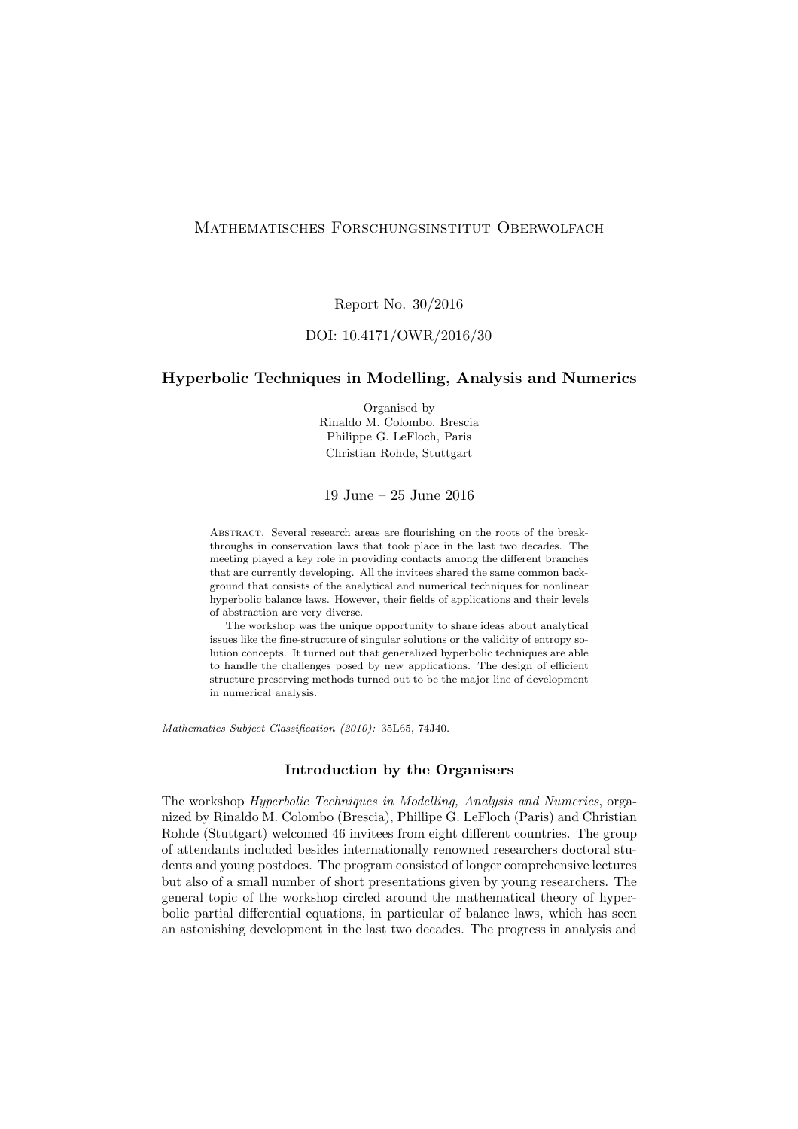## Mathematisches Forschungsinstitut Oberwolfach

Report No. 30/2016

## DOI: 10.4171/OWR/2016/30

#### Hyperbolic Techniques in Modelling, Analysis and Numerics

Organised by Rinaldo M. Colombo, Brescia Philippe G. LeFloch, Paris Christian Rohde, Stuttgart

19 June – 25 June 2016

ABSTRACT. Several research areas are flourishing on the roots of the breakthroughs in conservation laws that took place in the last two decades. The meeting played a key role in providing contacts among the different branches that are currently developing. All the invitees shared the same common background that consists of the analytical and numerical techniques for nonlinear hyperbolic balance laws. However, their fields of applications and their levels of abstraction are very diverse.

The workshop was the unique opportunity to share ideas about analytical issues like the fine-structure of singular solutions or the validity of entropy solution concepts. It turned out that generalized hyperbolic techniques are able to handle the challenges posed by new applications. The design of efficient structure preserving methods turned out to be the major line of development in numerical analysis.

Mathematics Subject Classification (2010): 35L65, 74J40.

#### Introduction by the Organisers

The workshop Hyperbolic Techniques in Modelling, Analysis and Numerics, organized by Rinaldo M. Colombo (Brescia), Phillipe G. LeFloch (Paris) and Christian Rohde (Stuttgart) welcomed 46 invitees from eight different countries. The group of attendants included besides internationally renowned researchers doctoral students and young postdocs. The program consisted of longer comprehensive lectures but also of a small number of short presentations given by young researchers. The general topic of the workshop circled around the mathematical theory of hyperbolic partial differential equations, in particular of balance laws, which has seen an astonishing development in the last two decades. The progress in analysis and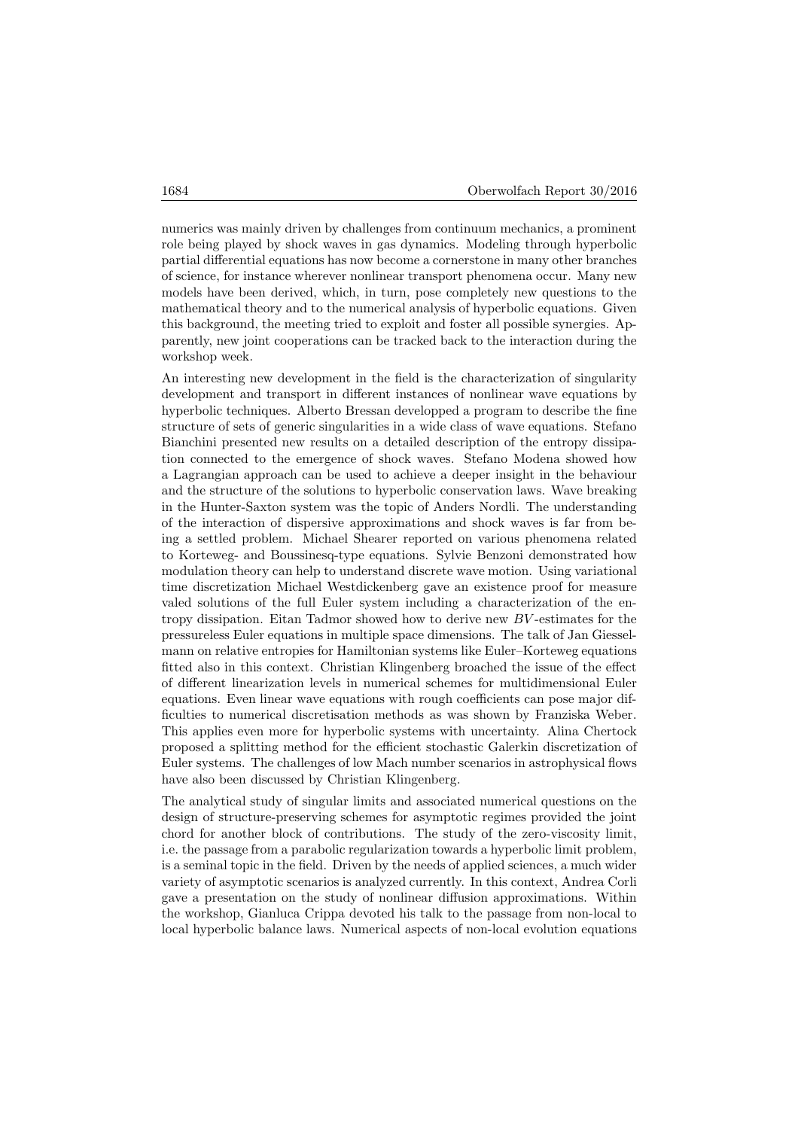numerics was mainly driven by challenges from continuum mechanics, a prominent role being played by shock waves in gas dynamics. Modeling through hyperbolic partial differential equations has now become a cornerstone in many other branches of science, for instance wherever nonlinear transport phenomena occur. Many new models have been derived, which, in turn, pose completely new questions to the mathematical theory and to the numerical analysis of hyperbolic equations. Given this background, the meeting tried to exploit and foster all possible synergies. Apparently, new joint cooperations can be tracked back to the interaction during the workshop week.

An interesting new development in the field is the characterization of singularity development and transport in different instances of nonlinear wave equations by hyperbolic techniques. Alberto Bressan developped a program to describe the fine structure of sets of generic singularities in a wide class of wave equations. Stefano Bianchini presented new results on a detailed description of the entropy dissipation connected to the emergence of shock waves. Stefano Modena showed how a Lagrangian approach can be used to achieve a deeper insight in the behaviour and the structure of the solutions to hyperbolic conservation laws. Wave breaking in the Hunter-Saxton system was the topic of Anders Nordli. The understanding of the interaction of dispersive approximations and shock waves is far from being a settled problem. Michael Shearer reported on various phenomena related to Korteweg- and Boussinesq-type equations. Sylvie Benzoni demonstrated how modulation theory can help to understand discrete wave motion. Using variational time discretization Michael Westdickenberg gave an existence proof for measure valed solutions of the full Euler system including a characterization of the entropy dissipation. Eitan Tadmor showed how to derive new BV -estimates for the pressureless Euler equations in multiple space dimensions. The talk of Jan Giesselmann on relative entropies for Hamiltonian systems like Euler–Korteweg equations fitted also in this context. Christian Klingenberg broached the issue of the effect of different linearization levels in numerical schemes for multidimensional Euler equations. Even linear wave equations with rough coefficients can pose major difficulties to numerical discretisation methods as was shown by Franziska Weber. This applies even more for hyperbolic systems with uncertainty. Alina Chertock proposed a splitting method for the efficient stochastic Galerkin discretization of Euler systems. The challenges of low Mach number scenarios in astrophysical flows have also been discussed by Christian Klingenberg.

The analytical study of singular limits and associated numerical questions on the design of structure-preserving schemes for asymptotic regimes provided the joint chord for another block of contributions. The study of the zero-viscosity limit, i.e. the passage from a parabolic regularization towards a hyperbolic limit problem, is a seminal topic in the field. Driven by the needs of applied sciences, a much wider variety of asymptotic scenarios is analyzed currently. In this context, Andrea Corli gave a presentation on the study of nonlinear diffusion approximations. Within the workshop, Gianluca Crippa devoted his talk to the passage from non-local to local hyperbolic balance laws. Numerical aspects of non-local evolution equations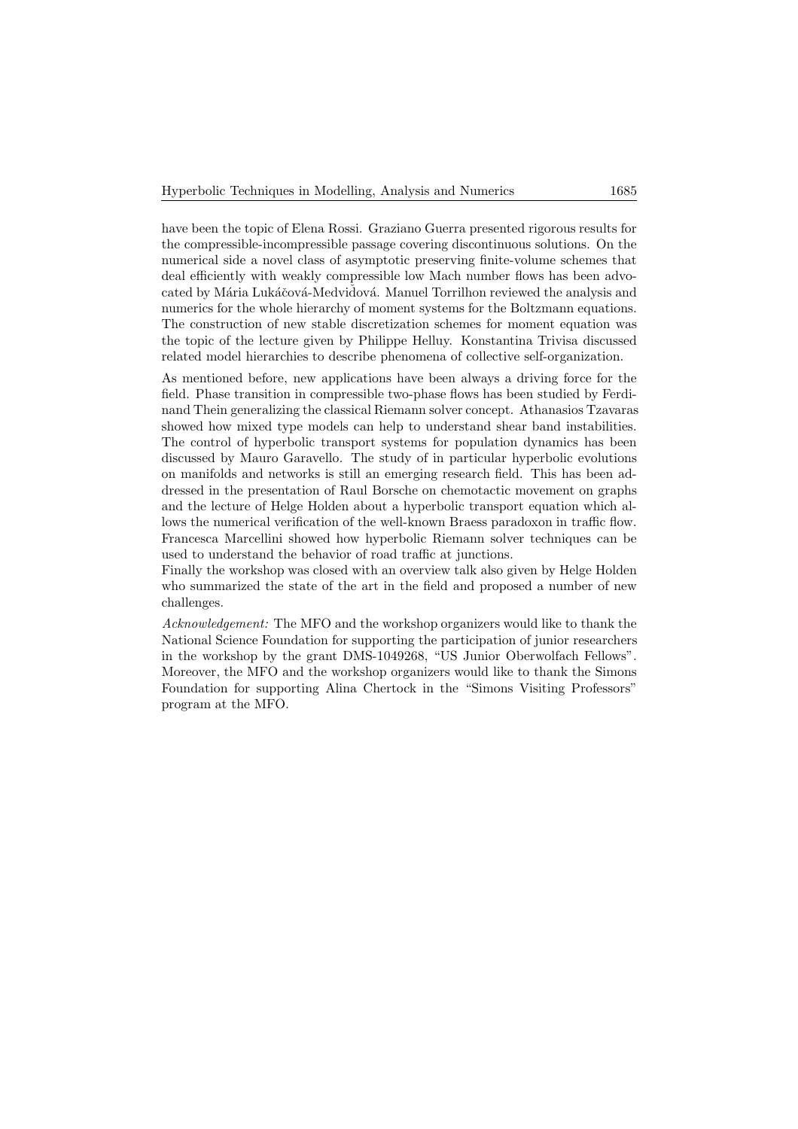have been the topic of Elena Rossi. Graziano Guerra presented rigorous results for the compressible-incompressible passage covering discontinuous solutions. On the numerical side a novel class of asymptotic preserving finite-volume schemes that deal efficiently with weakly compressible low Mach number flows has been advocated by Mária Lukáčová-Medvidová. Manuel Torrilhon reviewed the analysis and numerics for the whole hierarchy of moment systems for the Boltzmann equations. The construction of new stable discretization schemes for moment equation was the topic of the lecture given by Philippe Helluy. Konstantina Trivisa discussed related model hierarchies to describe phenomena of collective self-organization.

As mentioned before, new applications have been always a driving force for the field. Phase transition in compressible two-phase flows has been studied by Ferdinand Thein generalizing the classical Riemann solver concept. Athanasios Tzavaras showed how mixed type models can help to understand shear band instabilities. The control of hyperbolic transport systems for population dynamics has been discussed by Mauro Garavello. The study of in particular hyperbolic evolutions on manifolds and networks is still an emerging research field. This has been addressed in the presentation of Raul Borsche on chemotactic movement on graphs and the lecture of Helge Holden about a hyperbolic transport equation which allows the numerical verification of the well-known Braess paradoxon in traffic flow. Francesca Marcellini showed how hyperbolic Riemann solver techniques can be used to understand the behavior of road traffic at junctions.

Finally the workshop was closed with an overview talk also given by Helge Holden who summarized the state of the art in the field and proposed a number of new challenges.

Acknowledgement: The MFO and the workshop organizers would like to thank the National Science Foundation for supporting the participation of junior researchers in the workshop by the grant DMS-1049268, "US Junior Oberwolfach Fellows". Moreover, the MFO and the workshop organizers would like to thank the Simons Foundation for supporting Alina Chertock in the "Simons Visiting Professors" program at the MFO.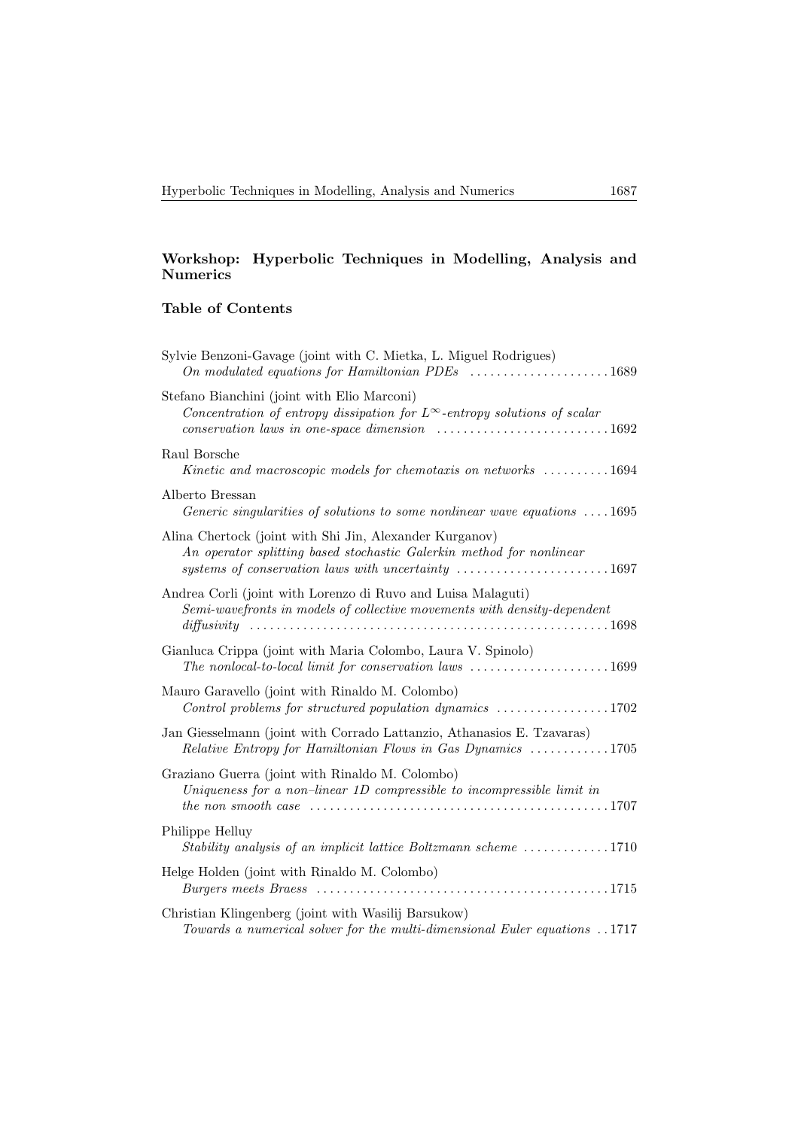## Workshop: Hyperbolic Techniques in Modelling, Analysis and **Numerics**

# Table of Contents

| Sylvie Benzoni-Gavage (joint with C. Mietka, L. Miguel Rodrigues)                                                                                                                                                                                  |
|----------------------------------------------------------------------------------------------------------------------------------------------------------------------------------------------------------------------------------------------------|
| Stefano Bianchini (joint with Elio Marconi)<br>Concentration of entropy dissipation for $L^{\infty}$ -entropy solutions of scalar<br>$conservation$ laws in one-space dimension $\ldots \ldots \ldots \ldots \ldots \ldots \ldots 1692$            |
| Raul Borsche<br>Kinetic and macroscopic models for chemotaxis on networks 1694                                                                                                                                                                     |
| Alberto Bressan<br>Generic singularities of solutions to some nonlinear wave equations $\dots$ 1695                                                                                                                                                |
| Alina Chertock (joint with Shi Jin, Alexander Kurganov)<br>An operator splitting based stochastic Galerkin method for nonlinear<br>systems of conservation laws with uncertainty 1697                                                              |
| Andrea Corli (joint with Lorenzo di Ruvo and Luisa Malaguti)<br>Semi-wavefronts in models of collective movements with density-dependent                                                                                                           |
| Gianluca Crippa (joint with Maria Colombo, Laura V. Spinolo)<br>The nonlocal-to-local limit for conservation laws 1699                                                                                                                             |
| Mauro Garavello (joint with Rinaldo M. Colombo)<br>Control problems for structured population dynamics $\ldots \ldots \ldots \ldots \ldots 1702$                                                                                                   |
| Jan Giesselmann (joint with Corrado Lattanzio, Athanasios E. Tzavaras)<br>Relative Entropy for Hamiltonian Flows in Gas Dynamics 1705                                                                                                              |
| Graziano Guerra (joint with Rinaldo M. Colombo)<br>Uniqueness for a non-linear 1D compressible to incompressible limit in<br>the non-smooth case $\ldots \ldots \ldots \ldots \ldots \ldots \ldots \ldots \ldots \ldots \ldots \ldots \ldots 1707$ |
| Philippe Helluy<br>Stability analysis of an implicit lattice Boltzmann scheme 1710                                                                                                                                                                 |
| Helge Holden (joint with Rinaldo M. Colombo)                                                                                                                                                                                                       |
| Christian Klingenberg (joint with Wasilij Barsukow)<br>Towards a numerical solver for the multi-dimensional Euler equations 1717                                                                                                                   |